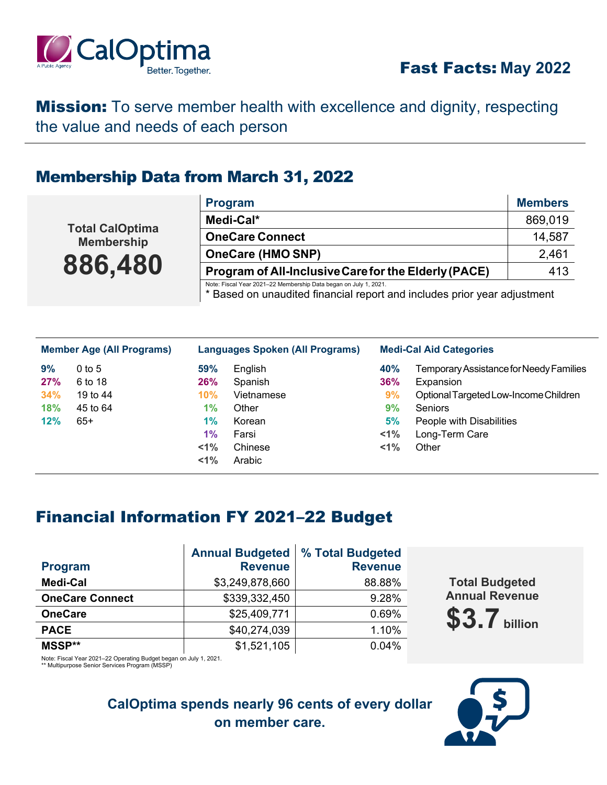

**Mission:** To serve member health with excellence and dignity, respecting the value and needs of each person

### Membership Data from March 31, 2022

**Total CalOptima Membership 886,480**

| <b>Program</b>                                      | <b>Members</b> |
|-----------------------------------------------------|----------------|
| Medi-Cal*                                           | 869,019        |
| <b>OneCare Connect</b>                              | 14,587         |
| <b>OneCare (HMO SNP)</b>                            | 2,461          |
| Program of All-Inclusive Carefor the Elderly (PACE) | 413            |

Note: Fiscal Year 2021–22 Membership Data began on July 1, 2021. \* Based on unaudited financial report and includes prior year adjustment

| <b>Member Age (All Programs)</b> |          |            | Languages Spoken (All Programs) |         | <b>Medi-Cal Aid Categories</b>          |  |
|----------------------------------|----------|------------|---------------------------------|---------|-----------------------------------------|--|
| 9%                               | $0$ to 5 | 59%        | English                         | 40%     | Temporary Assistance for Needy Families |  |
| 27%                              | 6 to 18  | 26%        | Spanish                         | 36%     | Expansion                               |  |
| 34%                              | 19 to 44 | <b>10%</b> | Vietnamese                      | 9%      | Optional Targeted Low-Income Children   |  |
| 18%                              | 45 to 64 | 1%         | Other                           | 9%      | <b>Seniors</b>                          |  |
| 12%                              | $65+$    | 1%         | Korean                          | 5%      | People with Disabilities                |  |
|                                  |          | 1%         | Farsi                           | $< 1\%$ | Long-Term Care                          |  |
|                                  |          | $< 1\%$    | Chinese                         | $< 1\%$ | Other                                   |  |
|                                  |          | $< 1\%$    | Arabic                          |         |                                         |  |

### Financial Information FY 2021–22 Budget

| <b>Program</b>         | <b>Annual Budgeted</b><br><b>Revenue</b> | % Total Budgeted<br><b>Revenue</b> |
|------------------------|------------------------------------------|------------------------------------|
| <b>Medi-Cal</b>        | \$3,249,878,660                          | 88.88%                             |
| <b>OneCare Connect</b> | \$339,332,450                            | 9.28%                              |
| <b>OneCare</b>         | \$25,409,771                             | 0.69%                              |
| <b>PACE</b>            | \$40,274,039                             | 1.10%                              |
| <b>MSSP**</b>          | \$1,521,105                              | 0.04%                              |

**Total Budgeted Annual Revenue \$3.7 billion**

Note: Fiscal Year 2021–22 Operating Budget began on July 1, 2021. \*\* Multipurpose Senior Services Program (MSSP)

### **CalOptima spends nearly 96 cents of every dollar on member care.**